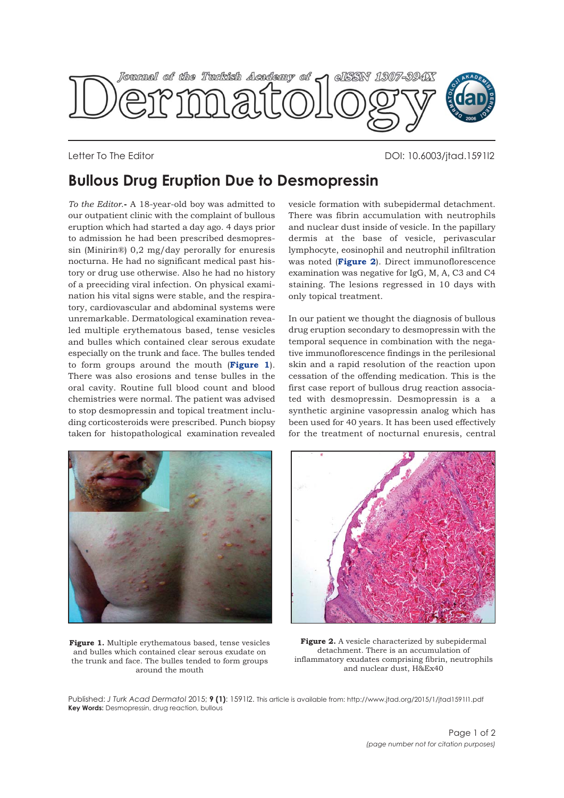

Letter To The Editor DOI: 10.6003/jtad.1591l2

## **Bullous Drug Eruption Due to Desmopressin**

*To the Editor*.**-** A 18-year-old boy was admitted to our outpatient clinic with the complaint of bullous eruption which had started a day ago. 4 days prior to admission he had been prescribed desmopressin (Minirin®) 0,2 mg/day perorally for enuresis nocturna. He had no significant medical past history or drug use otherwise. Also he had no history of a preeciding viral infection. On physical examination his vital signs were stable, and the respiratory, cardiovascular and abdominal systems were unremarkable. Dermatological examination revealed multiple erythematous based, tense vesicles and bulles which contained clear serous exudate especially on the trunk and face. The bulles tended to form groups around the mouth (**Figure 1**). There was also erosions and tense bulles in the oral cavity. Routine full blood count and blood chemistries were normal. The patient was advised to stop desmopressin and topical treatment including corticosteroids were prescribed. Punch biopsy taken for histopathological examination revealed

vesicle formation with subepidermal detachment. There was fibrin accumulation with neutrophils and nuclear dust inside of vesicle. In the papillary dermis at the base of vesicle, perivascular lymphocyte, eosinophil and neutrophil infiltration was noted (**Figure 2**). Direct immunoflorescence examination was negative for IgG, M, A, C3 and C4 staining. The lesions regressed in 10 days with only topical treatment.

In our patient we thought the diagnosis of bullous drug eruption secondary to desmopressin with the temporal sequence in combination with the negative immunoflorescence findings in the perilesional skin and a rapid resolution of the reaction upon cessation of the offending medication. This is the first case report of bullous drug reaction associated with desmopressin. Desmopressin is a a synthetic arginine vasopressin analog which has been used for 40 years. It has been used effectively for the treatment of nocturnal enuresis, central



**Figure 1.** Multiple erythematous based, tense vesicles and bulles which contained clear serous exudate on the trunk and face. The bulles tended to form groups around the mouth



**Figure 2.** A vesicle characterized by subepidermal detachment. There is an accumulation of inflammatory exudates comprising fibrin, neutrophils and nuclear dust, H&Ex40

Published: *J Turk Acad Dermatol* 2015; **9 (1)**: 1591l2. This article is available from: http://www.jtad.org/2015/1/jtad1591l1.pdf **Key Words:** Desmopressin, drug reaction, bullous